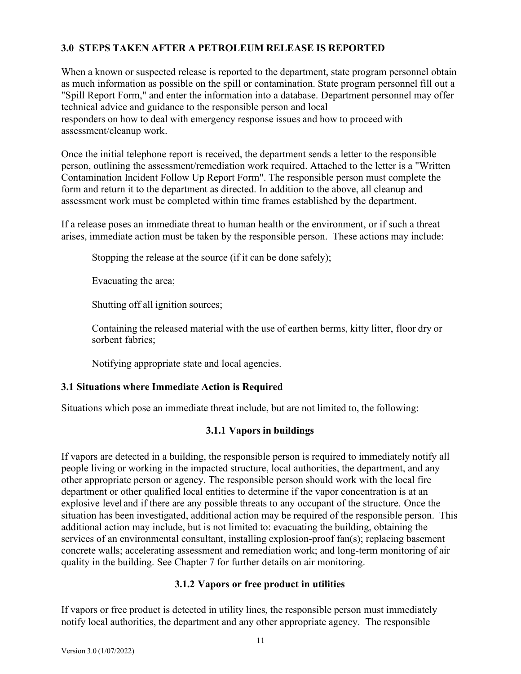# **3.0 STEPS TAKEN AFTER A PETROLEUM RELEASE IS REPORTED**

When a known or suspected release is reported to the department, state program personnel obtain as much information as possible on the spill or contamination. State program personnel fill out a "Spill Report Form," and enter the information into a database. Department personnel may offer technical advice and guidance to the responsible person and local responders on how to deal with emergency response issues and how to proceed with assessment/cleanup work.

Once the initial telephone report is received, the department sends a letter to the responsible person, outlining the assessment/remediation work required. Attached to the letter is a "Written Contamination Incident Follow Up Report Form". The responsible person must complete the form and return it to the department as directed. In addition to the above, all cleanup and assessment work must be completed within time frames established by the department.

If a release poses an immediate threat to human health or the environment, or if such a threat arises, immediate action must be taken by the responsible person. These actions may include:

Stopping the release at the source (if it can be done safely);

Evacuating the area;

Shutting off all ignition sources;

Containing the released material with the use of earthen berms, kitty litter, floor dry or sorbent fabrics;

Notifying appropriate state and local agencies.

# **3.1 Situations where Immediate Action is Required**

Situations which pose an immediate threat include, but are not limited to, the following:

# **3.1.1 Vapors in buildings**

If vapors are detected in a building, the responsible person is required to immediately notify all people living or working in the impacted structure, local authorities, the department, and any other appropriate person or agency. The responsible person should work with the local fire department or other qualified local entities to determine if the vapor concentration is at an explosive level and if there are any possible threats to any occupant of the structure. Once the situation has been investigated, additional action may be required of the responsible person. This additional action may include, but is not limited to: evacuating the building, obtaining the services of an environmental consultant, installing explosion-proof fan(s); replacing basement concrete walls; accelerating assessment and remediation work; and long-term monitoring of air quality in the building. See Chapter 7 for further details on air monitoring.

# **3.1.2 Vapors or free product in utilities**

If vapors or free product is detected in utility lines, the responsible person must immediately notify local authorities, the department and any other appropriate agency. The responsible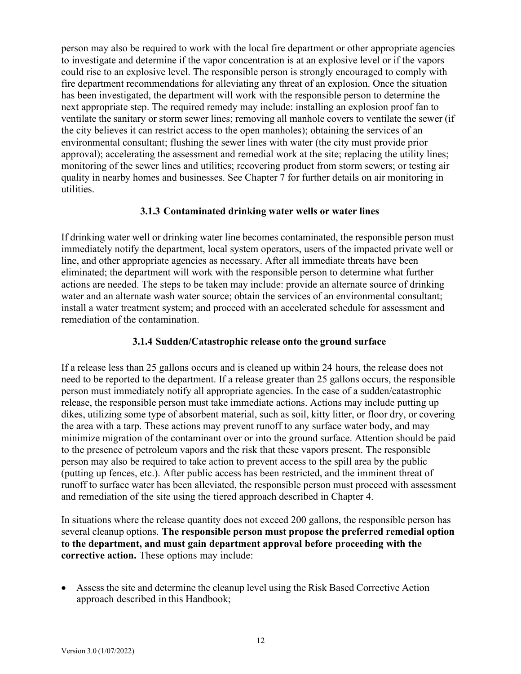person may also be required to work with the local fire department or other appropriate agencies to investigate and determine if the vapor concentration is at an explosive level or if the vapors could rise to an explosive level. The responsible person is strongly encouraged to comply with fire department recommendations for alleviating any threat of an explosion. Once the situation has been investigated, the department will work with the responsible person to determine the next appropriate step. The required remedy may include: installing an explosion proof fan to ventilate the sanitary or storm sewer lines; removing all manhole covers to ventilate the sewer (if the city believes it can restrict access to the open manholes); obtaining the services of an environmental consultant; flushing the sewer lines with water (the city must provide prior approval); accelerating the assessment and remedial work at the site; replacing the utility lines; monitoring of the sewer lines and utilities; recovering product from storm sewers; or testing air quality in nearby homes and businesses. See Chapter 7 for further details on air monitoring in utilities.

### **3.1.3 Contaminated drinking water wells or water lines**

If drinking water well or drinking water line becomes contaminated, the responsible person must immediately notify the department, local system operators, users of the impacted private well or line, and other appropriate agencies as necessary. After all immediate threats have been eliminated; the department will work with the responsible person to determine what further actions are needed. The steps to be taken may include: provide an alternate source of drinking water and an alternate wash water source; obtain the services of an environmental consultant; install a water treatment system; and proceed with an accelerated schedule for assessment and remediation of the contamination.

# **3.1.4 Sudden/Catastrophic release onto the ground surface**

If a release less than 25 gallons occurs and is cleaned up within 24 hours, the release does not need to be reported to the department. If a release greater than 25 gallons occurs, the responsible person must immediately notify all appropriate agencies. In the case of a sudden/catastrophic release, the responsible person must take immediate actions. Actions may include putting up dikes, utilizing some type of absorbent material, such as soil, kitty litter, or floor dry, or covering the area with a tarp. These actions may prevent runoff to any surface water body, and may minimize migration of the contaminant over or into the ground surface. Attention should be paid to the presence of petroleum vapors and the risk that these vapors present. The responsible person may also be required to take action to prevent access to the spill area by the public (putting up fences, etc.). After public access has been restricted, and the imminent threat of runoff to surface water has been alleviated, the responsible person must proceed with assessment and remediation of the site using the tiered approach described in Chapter 4.

In situations where the release quantity does not exceed 200 gallons, the responsible person has several cleanup options. **The responsible person must propose the preferred remedial option to the department, and must gain department approval before proceeding with the corrective action.** These options may include:

• Assess the site and determine the cleanup level using the Risk Based Corrective Action approach described in this Handbook;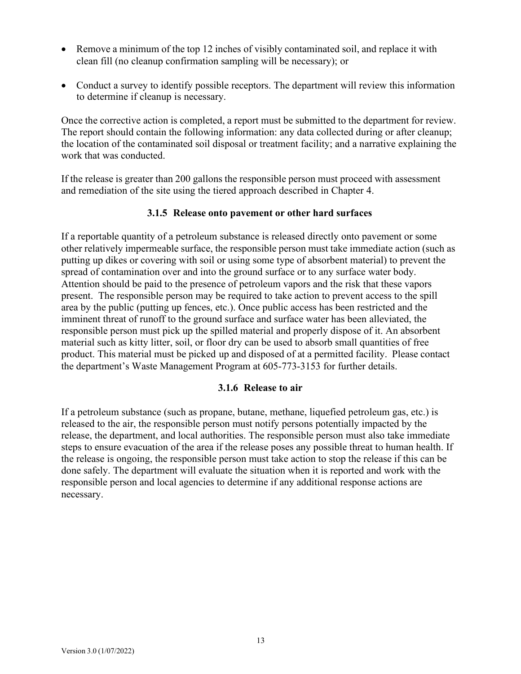- Remove a minimum of the top 12 inches of visibly contaminated soil, and replace it with clean fill (no cleanup confirmation sampling will be necessary); or
- Conduct a survey to identify possible receptors. The department will review this information to determine if cleanup is necessary.

Once the corrective action is completed, a report must be submitted to the department for review. The report should contain the following information: any data collected during or after cleanup; the location of the contaminated soil disposal or treatment facility; and a narrative explaining the work that was conducted.

If the release is greater than 200 gallons the responsible person must proceed with assessment and remediation of the site using the tiered approach described in Chapter 4.

### **3.1.5 Release onto pavement or other hard surfaces**

If a reportable quantity of a petroleum substance is released directly onto pavement or some other relatively impermeable surface, the responsible person must take immediate action (such as putting up dikes or covering with soil or using some type of absorbent material) to prevent the spread of contamination over and into the ground surface or to any surface water body. Attention should be paid to the presence of petroleum vapors and the risk that these vapors present. The responsible person may be required to take action to prevent access to the spill area by the public (putting up fences, etc.). Once public access has been restricted and the imminent threat of runoff to the ground surface and surface water has been alleviated, the responsible person must pick up the spilled material and properly dispose of it. An absorbent material such as kitty litter, soil, or floor dry can be used to absorb small quantities of free product. This material must be picked up and disposed of at a permitted facility. Please contact the department's Waste Management Program at 605-773-3153 for further details.

### **3.1.6 Release to air**

If a petroleum substance (such as propane, butane, methane, liquefied petroleum gas, etc.) is released to the air, the responsible person must notify persons potentially impacted by the release, the department, and local authorities. The responsible person must also take immediate steps to ensure evacuation of the area if the release poses any possible threat to human health. If the release is ongoing, the responsible person must take action to stop the release if this can be done safely. The department will evaluate the situation when it is reported and work with the responsible person and local agencies to determine if any additional response actions are necessary.